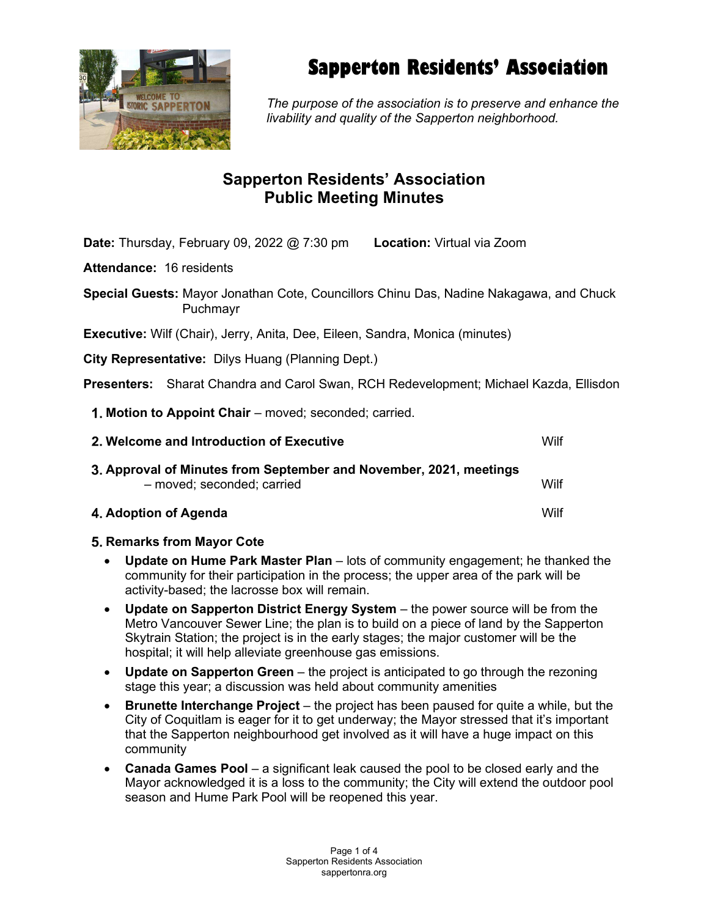

# Sapperton Residents' Association

The purpose of the association is to preserve and enhance the livability and quality of the Sapperton neighborhood.

## Sapperton Residents' Association Public Meeting Minutes

Date: Thursday, February 09, 2022 @ 7:30 pm Location: Virtual via Zoom

Attendance: 16 residents

Special Guests: Mayor Jonathan Cote, Councillors Chinu Das, Nadine Nakagawa, and Chuck Puchmayr

Executive: Wilf (Chair), Jerry, Anita, Dee, Eileen, Sandra, Monica (minutes)

City Representative: Dilys Huang (Planning Dept.)

Presenters: Sharat Chandra and Carol Swan, RCH Redevelopment; Michael Kazda, Ellisdon

1. Motion to Appoint Chair – moved; seconded; carried.

| 2. Welcome and Introduction of Executive                                                         | Wilf |
|--------------------------------------------------------------------------------------------------|------|
| 3. Approval of Minutes from September and November, 2021, meetings<br>- moved; seconded; carried | Wilf |
| 4. Adoption of Agenda                                                                            | Wilf |

### 5. Remarks from Mayor Cote

- Update on Hume Park Master Plan lots of community engagement; he thanked the community for their participation in the process; the upper area of the park will be activity-based; the lacrosse box will remain.
- Update on Sapperton District Energy System the power source will be from the Metro Vancouver Sewer Line; the plan is to build on a piece of land by the Sapperton Skytrain Station; the project is in the early stages; the major customer will be the hospital; it will help alleviate greenhouse gas emissions.
- Update on Sapperton Green the project is anticipated to go through the rezoning stage this year; a discussion was held about community amenities
- **Brunette Interchange Project** the project has been paused for quite a while, but the City of Coquitlam is eager for it to get underway; the Mayor stressed that it's important that the Sapperton neighbourhood get involved as it will have a huge impact on this community
- Canada Games Pool a significant leak caused the pool to be closed early and the Mayor acknowledged it is a loss to the community; the City will extend the outdoor pool season and Hume Park Pool will be reopened this year.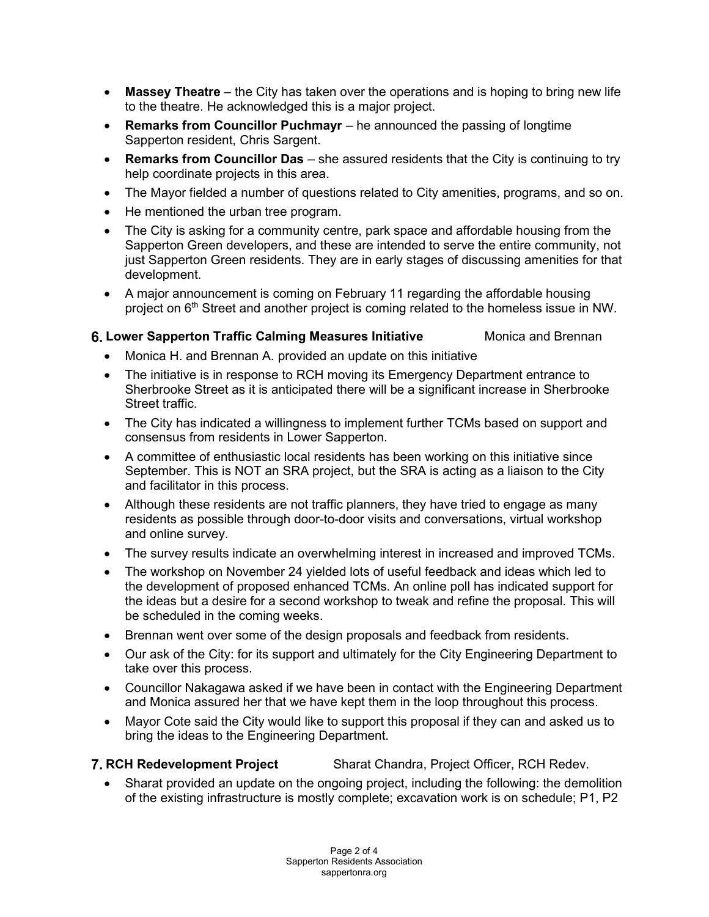- **Massey Theatre** the City has taken over the operations and is hoping to bring new life to the theatre. He acknowledged this is a major project.
- Remarks from Councillor Puchmayr he announced the passing of longtime Sapperton resident, Chris Sargent.
- **Remarks from Councillor Das**  $-$  she assured residents that the City is continuing to try help coordinate projects in this area.
- The Mayor fielded a number of questions related to City amenities, programs, and so on.
- He mentioned the urban tree program.
- The City is asking for a community centre, park space and affordable housing from the Sapperton Green developers, and these are intended to serve the entire community, not just Sapperton Green residents. They are in early stages of discussing amenities for that development.
- A major announcement is coming on February 11 regarding the affordable housing project on 6<sup>th</sup> Street and another project is coming related to the homeless issue in NW.

### 6. Lower Sapperton Traffic Calming Measures Initiative Monica and Brennan

- Monica H. and Brennan A. provided an update on this initiative
- The initiative is in response to RCH moving its Emergency Department entrance to Sherbrooke Street as it is anticipated there will be a significant increase in Sherbrooke Street traffic.
- The City has indicated a willingness to implement further TCMs based on support and consensus from residents in Lower Sapperton.
- A committee of enthusiastic local residents has been working on this initiative since September. This is NOT an SRA project, but the SRA is acting as a liaison to the City and facilitator in this process.
- Although these residents are not traffic planners, they have tried to engage as many residents as possible through door-to-door visits and conversations, virtual workshop and online survey.
- The survey results indicate an overwhelming interest in increased and improved TCMs.
- The workshop on November 24 yielded lots of useful feedback and ideas which led to the development of proposed enhanced TCMs. An online poll has indicated support for the ideas but a desire for a second workshop to tweak and refine the proposal. This will be scheduled in the coming weeks.
- Brennan went over some of the design proposals and feedback from residents.
- Our ask of the City: for its support and ultimately for the City Engineering Department to take over this process.
- Councillor Nakagawa asked if we have been in contact with the Engineering Department and Monica assured her that we have kept them in the loop throughout this process.
- Mayor Cote said the City would like to support this proposal if they can and asked us to bring the ideas to the Engineering Department.

### **7. RCH Redevelopment Project** Sharat Chandra, Project Officer, RCH Redev.

 Sharat provided an update on the ongoing project, including the following: the demolition of the existing infrastructure is mostly complete; excavation work is on schedule; P1, P2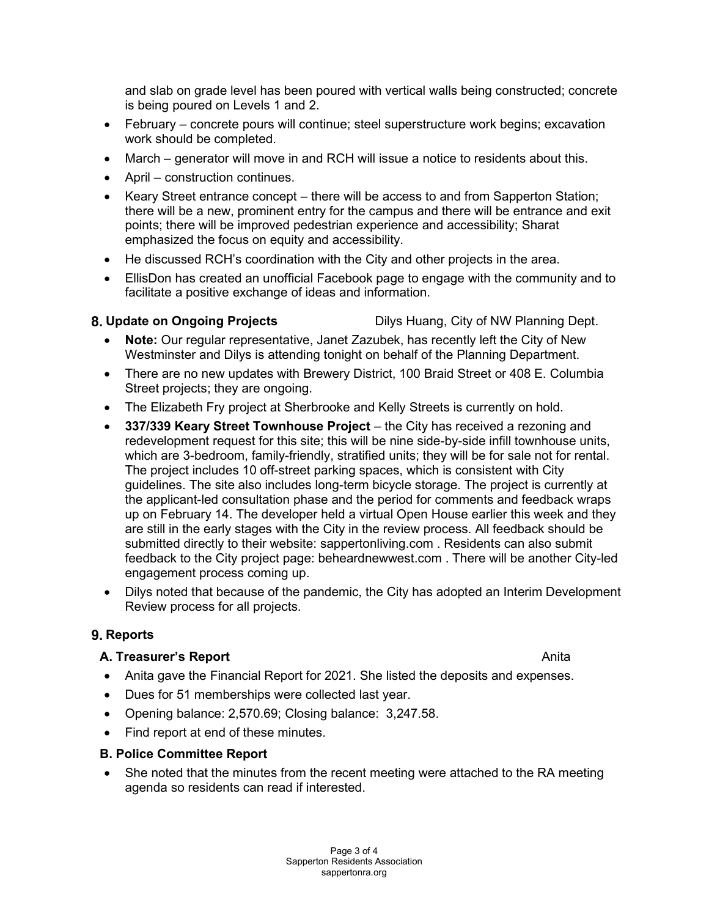and slab on grade level has been poured with vertical walls being constructed; concrete is being poured on Levels 1 and 2.

- February concrete pours will continue; steel superstructure work begins; excavation work should be completed.
- March generator will move in and RCH will issue a notice to residents about this.
- April construction continues.
- Keary Street entrance concept there will be access to and from Sapperton Station; there will be a new, prominent entry for the campus and there will be entrance and exit points; there will be improved pedestrian experience and accessibility; Sharat emphasized the focus on equity and accessibility.
- He discussed RCH's coordination with the City and other projects in the area.
- EllisDon has created an unofficial Facebook page to engage with the community and to facilitate a positive exchange of ideas and information.

8. Update on Ongoing Projects **Dilys Huang, City of NW Planning Dept.** 

- Note: Our regular representative, Janet Zazubek, has recently left the City of New Westminster and Dilys is attending tonight on behalf of the Planning Department.
- There are no new updates with Brewery District, 100 Braid Street or 408 E. Columbia Street projects; they are ongoing.
- The Elizabeth Fry project at Sherbrooke and Kelly Streets is currently on hold.
- 337/339 Keary Street Townhouse Project the City has received a rezoning and redevelopment request for this site; this will be nine side-by-side infill townhouse units, which are 3-bedroom, family-friendly, stratified units; they will be for sale not for rental. The project includes 10 off-street parking spaces, which is consistent with City guidelines. The site also includes long-term bicycle storage. The project is currently at the applicant-led consultation phase and the period for comments and feedback wraps up on February 14. The developer held a virtual Open House earlier this week and they are still in the early stages with the City in the review process. All feedback should be submitted directly to their website: sappertonliving.com . Residents can also submit feedback to the City project page: beheardnewwest.com . There will be another City-led engagement process coming up.
- Dilys noted that because of the pandemic, the City has adopted an Interim Development Review process for all projects.

### 9. Reports

### A. Treasurer's Report **Anita** Anita Anita Anita Anita Anita

- Anita gave the Financial Report for 2021. She listed the deposits and expenses.
- Dues for 51 memberships were collected last year.
- Opening balance: 2,570.69; Closing balance: 3,247.58.
- Find report at end of these minutes.

### B. Police Committee Report

• She noted that the minutes from the recent meeting were attached to the RA meeting agenda so residents can read if interested.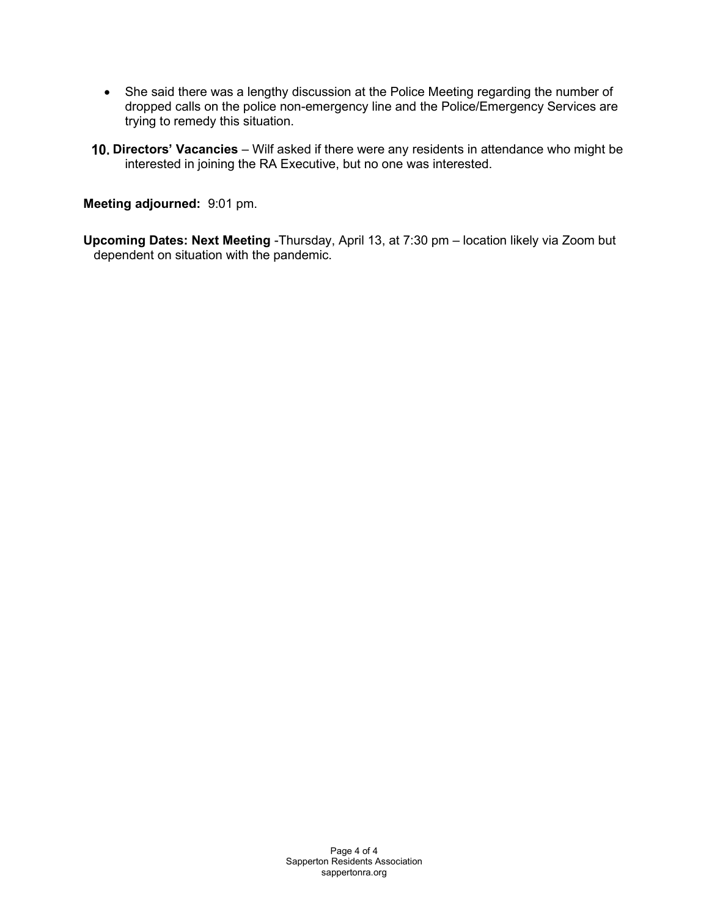- She said there was a lengthy discussion at the Police Meeting regarding the number of dropped calls on the police non-emergency line and the Police/Emergency Services are trying to remedy this situation.
- 10. Directors' Vacancies Wilf asked if there were any residents in attendance who might be interested in joining the RA Executive, but no one was interested.

Meeting adjourned: 9:01 pm.

Upcoming Dates: Next Meeting -Thursday, April 13, at 7:30 pm – location likely via Zoom but dependent on situation with the pandemic.